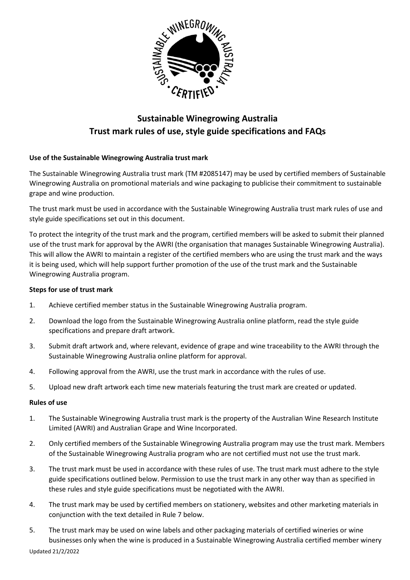

### **Sustainable Winegrowing Australia Trust mark rules of use, style guide specifications and FAQs**

#### **Use of the Sustainable Winegrowing Australia trust mark**

The Sustainable Winegrowing Australia trust mark (TM #2085147) may be used by certified members of Sustainable Winegrowing Australia on promotional materials and wine packaging to publicise their commitment to sustainable grape and wine production.

The trust mark must be used in accordance with the Sustainable Winegrowing Australia trust mark rules of use and style guide specifications set out in this document.

To protect the integrity of the trust mark and the program, certified members will be asked to submit their planned use of the trust mark for approval by the AWRI (the organisation that manages Sustainable Winegrowing Australia). This will allow the AWRI to maintain a register of the certified members who are using the trust mark and the ways it is being used, which will help support further promotion of the use of the trust mark and the Sustainable Winegrowing Australia program.

#### **Steps for use of trust mark**

- 1. Achieve certified member status in the Sustainable Winegrowing Australia program.
- 2. Download the logo from the Sustainable Winegrowing Australia online platform, read the style guide specifications and prepare draft artwork.
- 3. Submit draft artwork and, where relevant, evidence of grape and wine traceability to the AWRI through the Sustainable Winegrowing Australia online platform for approval.
- 4. Following approval from the AWRI, use the trust mark in accordance with the rules of use.
- 5. Upload new draft artwork each time new materials featuring the trust mark are created or updated.

#### **Rules of use**

- 1. The Sustainable Winegrowing Australia trust mark is the property of the Australian Wine Research Institute Limited (AWRI) and Australian Grape and Wine Incorporated.
- 2. Only certified members of the Sustainable Winegrowing Australia program may use the trust mark. Members of the Sustainable Winegrowing Australia program who are not certified must not use the trust mark.
- 3. The trust mark must be used in accordance with these rules of use. The trust mark must adhere to the style guide specifications outlined below. Permission to use the trust mark in any other way than as specified in these rules and style guide specifications must be negotiated with the AWRI.
- 4. The trust mark may be used by certified members on stationery, websites and other marketing materials in conjunction with the text detailed in Rule 7 below.
- 5. The trust mark may be used on wine labels and other packaging materials of certified wineries or wine businesses only when the wine is produced in a Sustainable Winegrowing Australia certified member winery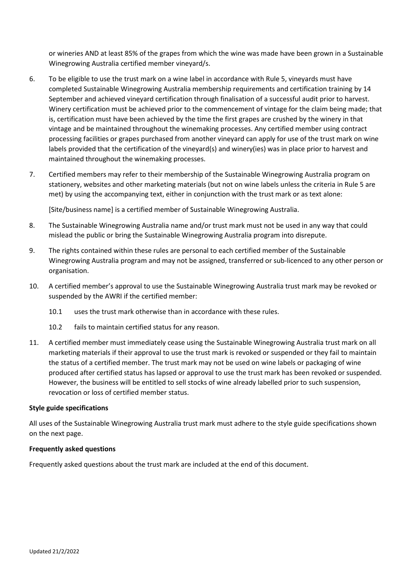or wineries AND at least 85% of the grapes from which the wine was made have been grown in a Sustainable Winegrowing Australia certified member vineyard/s.

- 6. To be eligible to use the trust mark on a wine label in accordance with Rule 5, vineyards must have completed Sustainable Winegrowing Australia membership requirements and certification training by 14 September and achieved vineyard certification through finalisation of a successful audit prior to harvest. Winery certification must be achieved prior to the commencement of vintage for the claim being made; that is, certification must have been achieved by the time the first grapes are crushed by the winery in that vintage and be maintained throughout the winemaking processes. Any certified member using contract processing facilities or grapes purchased from another vineyard can apply for use of the trust mark on wine labels provided that the certification of the vineyard(s) and winery(ies) was in place prior to harvest and maintained throughout the winemaking processes.
- 7. Certified members may refer to their membership of the Sustainable Winegrowing Australia program on stationery, websites and other marketing materials (but not on wine labels unless the criteria in Rule 5 are met) by using the accompanying text, either in conjunction with the trust mark or as text alone:

[Site/business name] is a certified member of Sustainable Winegrowing Australia.

- 8. The Sustainable Winegrowing Australia name and/or trust mark must not be used in any way that could mislead the public or bring the Sustainable Winegrowing Australia program into disrepute.
- 9. The rights contained within these rules are personal to each certified member of the Sustainable Winegrowing Australia program and may not be assigned, transferred or sub-licenced to any other person or organisation.
- 10. A certified member's approval to use the Sustainable Winegrowing Australia trust mark may be revoked or suspended by the AWRI if the certified member:
	- 10.1 uses the trust mark otherwise than in accordance with these rules.
	- 10.2 fails to maintain certified status for any reason.
- 11. A certified member must immediately cease using the Sustainable Winegrowing Australia trust mark on all marketing materials if their approval to use the trust mark is revoked or suspended or they fail to maintain the status of a certified member. The trust mark may not be used on wine labels or packaging of wine produced after certified status has lapsed or approval to use the trust mark has been revoked or suspended. However, the business will be entitled to sell stocks of wine already labelled prior to such suspension, revocation or loss of certified member status.

#### **Style guide specifications**

All uses of the Sustainable Winegrowing Australia trust mark must adhere to the style guide specifications shown on the next page.

#### **Frequently asked questions**

Frequently asked questions about the trust mark are included at the end of this document.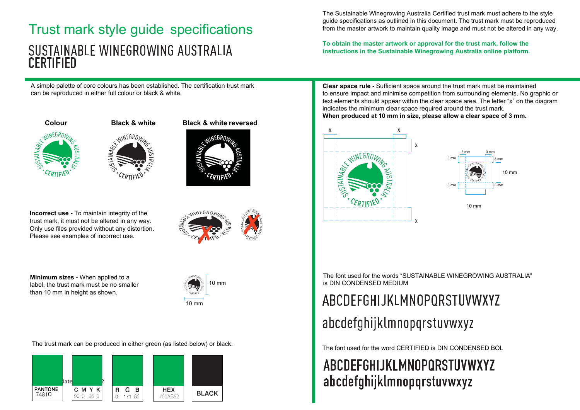### Trust mark style guide specifications SUSTAINABLE WINEGROWING AUSTRALIA **CERTIFIED**

A simple palette of core colours has been established. The certification trust mark can be reproduced in either full colour or black & white.



STAINABLE



**Incorrect use -** To maintain integrity of the trust mark, it must not be altered in any way. Only use files provided without any distortion. Please see examples of incorrect use.

**Minimum sizes -** When applied to a label, the trust mark must be no smaller than 10 mm in height as shown.



10 mm

The trust mark can be produced in either green (as listed below) or black.<br>The font used for the word CERTIFIED is DIN CONDENSED BOL



The Sustainable Winegrowing Australia Certified trust mark must adhere to the style guide specifications as outlined in this document. The trust mark must be reproduced from the master artwork to maintain quality image and must not be altered in any way.

**To obtain the master artwork or approval for the trust mark, follow the instructions in the Sustainable Winegrowing Australia online platform.**

**Clear space rule -** Sufficient space around the trust mark must be maintained to ensure impact and minimise competition from surrounding elements. No graphic or text elements should appear within the clear space area. The letter "x" on the diagram indicates the minimum clear space required around the trust mark. **When produced at 10 mm in size, please allow a clear space of 3 mm.**





The font used for the words "SUSTAINABLE WINEGROWING AUSTRALIA" is DIN CONDENSED MEDIUM

# ABCDEFGHIJKLMNOPQRSTUVWXYZ

## abcdefghijklmnopqrstuvwxyz

### ABCDEFGHIJKLMNOPQRSTUVWXYZ abcdefghijklmnopqrstuvwxyz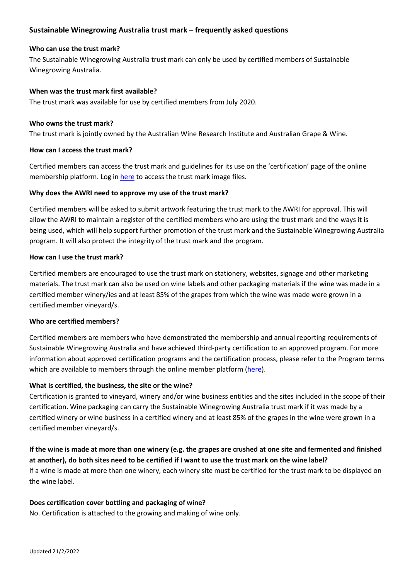#### **Sustainable Winegrowing Australia trust mark – frequently asked questions**

#### **Who can use the trust mark?**

The Sustainable Winegrowing Australia trust mark can only be used by certified members of Sustainable Winegrowing Australia.

#### **When was the trust mark first available?**

The trust mark was available for use by certified members from July 2020.

#### **Who owns the trust mark?**

The trust mark is jointly owned by the Australian Wine Research Institute and Australian Grape & Wine.

#### **How can I access the trust mark?**

Certified members can access the trust mark and guidelines for its use on the 'certification' page of the online membership platform. Log i[n here](https://member.sustainablewinegrowing.com.au/login) to access the trust mark image files.

#### **Why does the AWRI need to approve my use of the trust mark?**

Certified members will be asked to submit artwork featuring the trust mark to the AWRI for approval. This will allow the AWRI to maintain a register of the certified members who are using the trust mark and the ways it is being used, which will help support further promotion of the trust mark and the Sustainable Winegrowing Australia program. It will also protect the integrity of the trust mark and the program.

#### **How can I use the trust mark?**

Certified members are encouraged to use the trust mark on stationery, websites, signage and other marketing materials. The trust mark can also be used on wine labels and other packaging materials if the wine was made in a certified member winery/ies and at least 85% of the grapes from which the wine was made were grown in a certified member vineyard/s.

#### **Who are certified members?**

Certified members are members who have demonstrated the membership and annual reporting requirements of Sustainable Winegrowing Australia and have achieved third-party certification to an approved program. For more information about approved certification programs and the certification process, please refer to the Program terms which are available to members through the online member platform [\(here\)](https://member.sustainablewinegrowing.com.au/login).

#### **What is certified, the business, the site or the wine?**

Certification is granted to vineyard, winery and/or wine business entities and the sites included in the scope of their certification. Wine packaging can carry the Sustainable Winegrowing Australia trust mark if it was made by a certified winery or wine business in a certified winery and at least 85% of the grapes in the wine were grown in a certified member vineyard/s.

#### **If the wine is made at more than one winery (e.g. the grapes are crushed at one site and fermented and finished at another), do both sites need to be certified if I want to use the trust mark on the wine label?** If a wine is made at more than one winery, each winery site must be certified for the trust mark to be displayed on the wine label.

#### **Does certification cover bottling and packaging of wine?**

No. Certification is attached to the growing and making of wine only.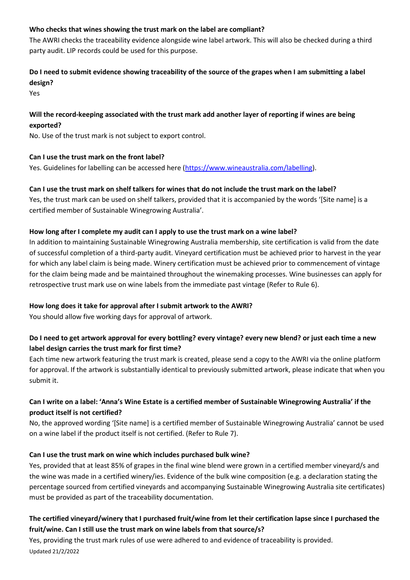#### **Who checks that wines showing the trust mark on the label are compliant?**

The AWRI checks the traceability evidence alongside wine label artwork. This will also be checked during a third party audit. LIP records could be used for this purpose.

#### **Do I need to submit evidence showing traceability of the source of the grapes when I am submitting a label design?**

Yes

#### **Will the record-keeping associated with the trust mark add another layer of reporting if wines are being exported?**

No. Use of the trust mark is not subject to export control.

#### **Can I use the trust mark on the front label?**

Yes. Guidelines for labelling can be accessed here [\(https://www.wineaustralia.com/labelling\)](https://www.wineaustralia.com/labelling).

#### **Can I use the trust mark on shelf talkers for wines that do not include the trust mark on the label?**

Yes, the trust mark can be used on shelf talkers, provided that it is accompanied by the words '[Site name] is a certified member of Sustainable Winegrowing Australia'.

#### **How long after I complete my audit can I apply to use the trust mark on a wine label?**

In addition to maintaining Sustainable Winegrowing Australia membership, site certification is valid from the date of successful completion of a third-party audit. Vineyard certification must be achieved prior to harvest in the year for which any label claim is being made. Winery certification must be achieved prior to commencement of vintage for the claim being made and be maintained throughout the winemaking processes. Wine businesses can apply for retrospective trust mark use on wine labels from the immediate past vintage (Refer to Rule 6).

#### **How long does it take for approval after I submit artwork to the AWRI?**

You should allow five working days for approval of artwork.

#### **Do I need to get artwork approval for every bottling? every vintage? every new blend? or just each time a new label design carries the trust mark for first time?**

Each time new artwork featuring the trust mark is created, please send a copy to the AWRI via the online platform for approval. If the artwork is substantially identical to previously submitted artwork, please indicate that when you submit it.

#### **Can I write on a label: 'Anna's Wine Estate is a certified member of Sustainable Winegrowing Australia' if the product itself is not certified?**

No, the approved wording '[Site name] is a certified member of Sustainable Winegrowing Australia' cannot be used on a wine label if the product itself is not certified. (Refer to Rule 7).

#### **Can I use the trust mark on wine which includes purchased bulk wine?**

Yes, provided that at least 85% of grapes in the final wine blend were grown in a certified member vineyard/s and the wine was made in a certified winery/ies. Evidence of the bulk wine composition (e.g. a declaration stating the percentage sourced from certified vineyards and accompanying Sustainable Winegrowing Australia site certificates) must be provided as part of the traceability documentation.

#### **The certified vineyard/winery that I purchased fruit/wine from let their certification lapse since I purchased the fruit/wine. Can I still use the trust mark on wine labels from that source/s?**

Updated 21/2/2022 Yes, providing the trust mark rules of use were adhered to and evidence of traceability is provided.